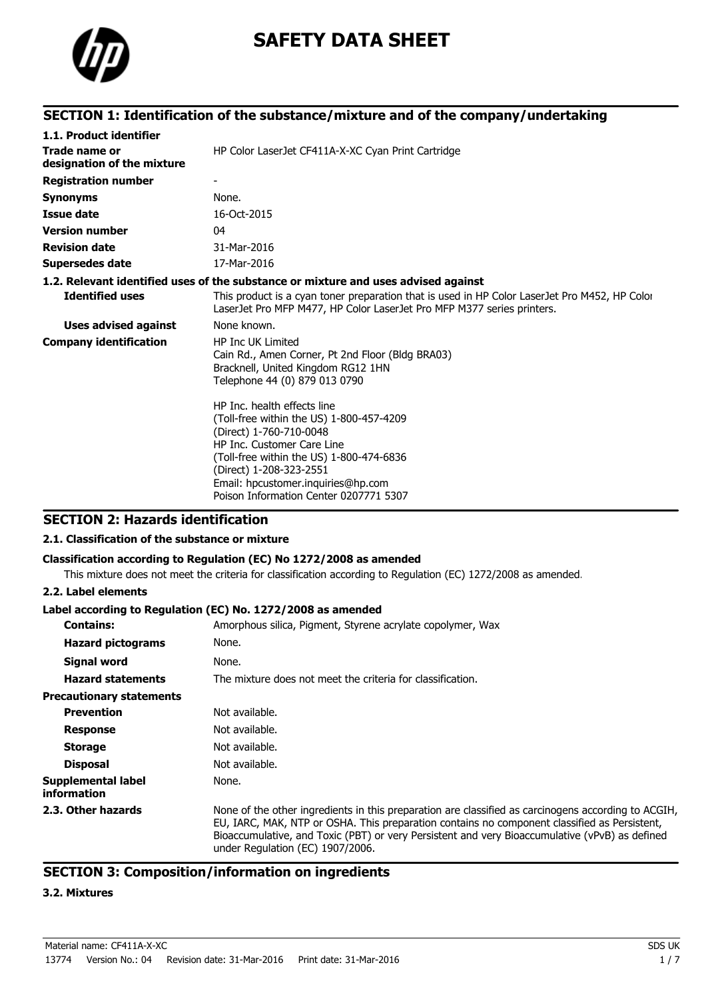

# **SAFETY DATA SHEET**

### **SECTION 1: Identification of the substance/mixture and of the company/undertaking**

| 1.1. Product identifier                     |                                                                                                                                                                                                                                                                                         |
|---------------------------------------------|-----------------------------------------------------------------------------------------------------------------------------------------------------------------------------------------------------------------------------------------------------------------------------------------|
| Trade name or<br>designation of the mixture | HP Color LaserJet CF411A-X-XC Cyan Print Cartridge                                                                                                                                                                                                                                      |
| <b>Registration number</b>                  |                                                                                                                                                                                                                                                                                         |
| <b>Synonyms</b>                             | None.                                                                                                                                                                                                                                                                                   |
| Issue date                                  | 16-Oct-2015                                                                                                                                                                                                                                                                             |
| <b>Version number</b>                       | 04                                                                                                                                                                                                                                                                                      |
| <b>Revision date</b>                        | 31-Mar-2016                                                                                                                                                                                                                                                                             |
| Supersedes date                             | 17-Mar-2016                                                                                                                                                                                                                                                                             |
|                                             | 1.2. Relevant identified uses of the substance or mixture and uses advised against                                                                                                                                                                                                      |
| <b>Identified uses</b>                      | This product is a cyan toner preparation that is used in HP Color LaserJet Pro M452, HP Color<br>LaserJet Pro MFP M477, HP Color LaserJet Pro MFP M377 series printers.                                                                                                                 |
| <b>Uses advised against</b>                 | None known.                                                                                                                                                                                                                                                                             |
| <b>Company identification</b>               | <b>HP Inc UK Limited</b><br>Cain Rd., Amen Corner, Pt 2nd Floor (Bldg BRA03)<br>Bracknell, United Kingdom RG12 1HN<br>Telephone 44 (0) 879 013 0790                                                                                                                                     |
|                                             | HP Inc. health effects line<br>(Toll-free within the US) 1-800-457-4209<br>(Direct) 1-760-710-0048<br>HP Inc. Customer Care Line<br>(Toll-free within the US) 1-800-474-6836<br>(Direct) 1-208-323-2551<br>Email: hpcustomer.inquiries@hp.com<br>Poison Information Center 0207771 5307 |

### **SECTION 2: Hazards identification**

#### **2.1. Classification of the substance or mixture**

#### **Classification according to Regulation (EC) No 1272/2008 as amended**

This mixture does not meet the criteria for classification according to Regulation (EC) 1272/2008 as amended.

#### **2.2. Label elements**

#### **Label according to Regulation (EC) No. 1272/2008 as amended**

| <b>Contains:</b>                  | Amorphous silica, Pigment, Styrene acrylate copolymer, Wax                                                                                                                                                                                                                                                                                |
|-----------------------------------|-------------------------------------------------------------------------------------------------------------------------------------------------------------------------------------------------------------------------------------------------------------------------------------------------------------------------------------------|
| <b>Hazard pictograms</b>          | None.                                                                                                                                                                                                                                                                                                                                     |
| <b>Signal word</b>                | None.                                                                                                                                                                                                                                                                                                                                     |
| <b>Hazard statements</b>          | The mixture does not meet the criteria for classification.                                                                                                                                                                                                                                                                                |
| <b>Precautionary statements</b>   |                                                                                                                                                                                                                                                                                                                                           |
| <b>Prevention</b>                 | Not available.                                                                                                                                                                                                                                                                                                                            |
| <b>Response</b>                   | Not available.                                                                                                                                                                                                                                                                                                                            |
| <b>Storage</b>                    | Not available.                                                                                                                                                                                                                                                                                                                            |
| <b>Disposal</b>                   | Not available.                                                                                                                                                                                                                                                                                                                            |
| Supplemental label<br>information | None.                                                                                                                                                                                                                                                                                                                                     |
| 2.3. Other hazards                | None of the other ingredients in this preparation are classified as carcinogens according to ACGIH,<br>EU, IARC, MAK, NTP or OSHA. This preparation contains no component classified as Persistent,<br>Bioaccumulative, and Toxic (PBT) or very Persistent and very Bioaccumulative (vPvB) as defined<br>under Regulation (EC) 1907/2006. |

### **SECTION 3: Composition/information on ingredients**

#### **3.2. Mixtures**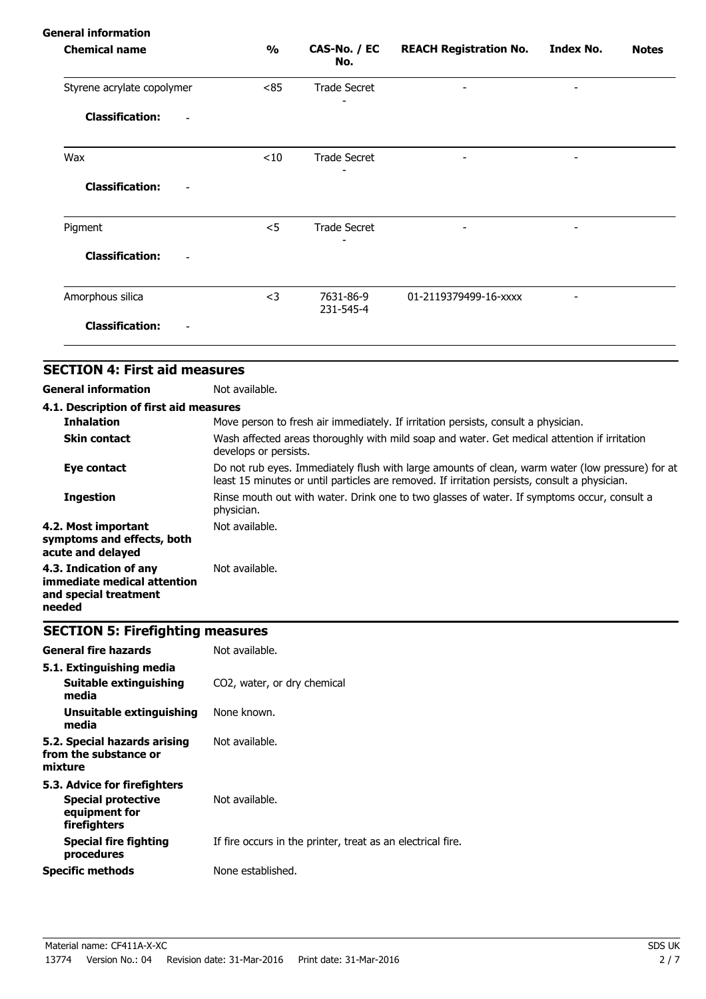| $\frac{1}{2}$ | CAS-No. / EC<br>No.    | <b>REACH Registration No.</b> | <b>Index No.</b> | <b>Notes</b> |
|---------------|------------------------|-------------------------------|------------------|--------------|
| < 85          | <b>Trade Secret</b>    |                               |                  |              |
|               |                        |                               |                  |              |
| < 10          | <b>Trade Secret</b>    |                               |                  |              |
|               |                        |                               |                  |              |
| $<$ 5         | <b>Trade Secret</b>    |                               | -                |              |
|               |                        |                               |                  |              |
| $<$ 3         | 7631-86-9<br>231-545-4 | 01-2119379499-16-xxxx         |                  |              |
|               |                        |                               |                  |              |
|               |                        |                               |                  |              |

| 4.1. Description of first aid measures                                                   |                                                                                                                                                                                                   |
|------------------------------------------------------------------------------------------|---------------------------------------------------------------------------------------------------------------------------------------------------------------------------------------------------|
| <b>Inhalation</b>                                                                        | Move person to fresh air immediately. If irritation persists, consult a physician.                                                                                                                |
| <b>Skin contact</b>                                                                      | Wash affected areas thoroughly with mild soap and water. Get medical attention if irritation<br>develops or persists.                                                                             |
| Eye contact                                                                              | Do not rub eyes. Immediately flush with large amounts of clean, warm water (low pressure) for at<br>least 15 minutes or until particles are removed. If irritation persists, consult a physician. |
| <b>Ingestion</b>                                                                         | Rinse mouth out with water. Drink one to two glasses of water. If symptoms occur, consult a<br>physician.                                                                                         |
| 4.2. Most important<br>symptoms and effects, both<br>acute and delayed                   | Not available.                                                                                                                                                                                    |
| 4.3. Indication of any<br>immediate medical attention<br>and special treatment<br>needed | Not available.                                                                                                                                                                                    |

# **SECTION 5: Firefighting measures**

| <b>General fire hazards</b>                                                                | Not available.                                              |
|--------------------------------------------------------------------------------------------|-------------------------------------------------------------|
| 5.1. Extinguishing media<br>Suitable extinguishing<br>media                                | CO <sub>2</sub> , water, or dry chemical                    |
| Unsuitable extinguishing<br>media                                                          | None known.                                                 |
| 5.2. Special hazards arising<br>from the substance or<br>mixture                           | Not available.                                              |
| 5.3. Advice for firefighters<br><b>Special protective</b><br>equipment for<br>firefighters | Not available.                                              |
| <b>Special fire fighting</b><br>procedures                                                 | If fire occurs in the printer, treat as an electrical fire. |
| <b>Specific methods</b>                                                                    | None established.                                           |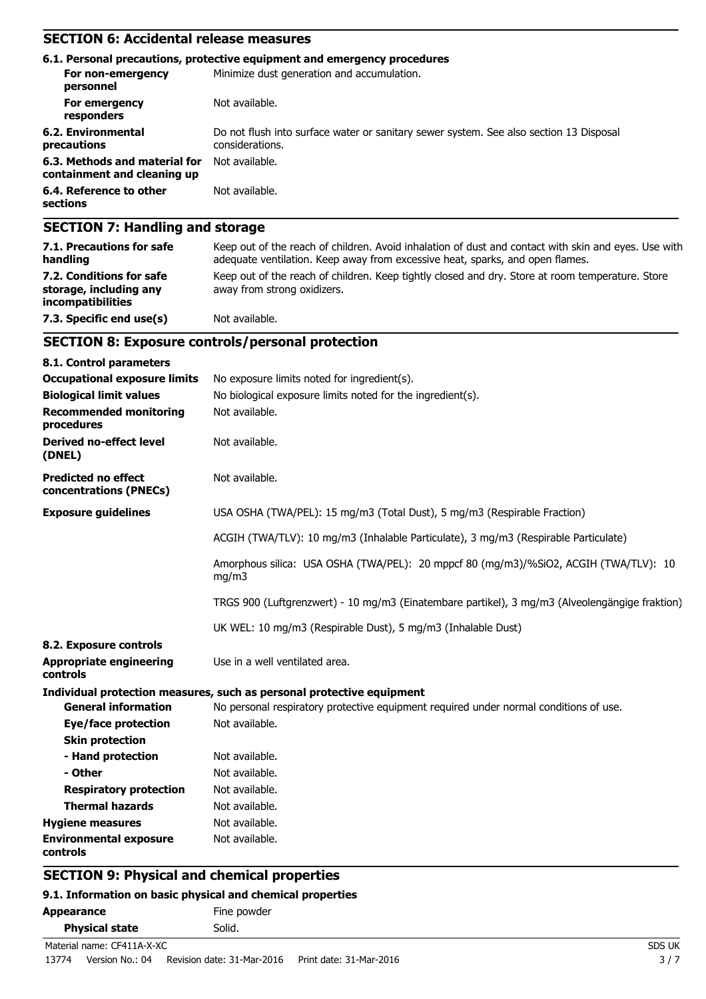# **SECTION 6: Accidental release measures**

|                                                              | 6.1. Personal precautions, protective equipment and emergency procedures                                  |
|--------------------------------------------------------------|-----------------------------------------------------------------------------------------------------------|
| For non-emergency<br>personnel                               | Minimize dust generation and accumulation.                                                                |
| For emergency<br>responders                                  | Not available.                                                                                            |
| 6.2. Environmental<br>precautions                            | Do not flush into surface water or sanitary sewer system. See also section 13 Disposal<br>considerations. |
| 6.3. Methods and material for<br>containment and cleaning up | Not available.                                                                                            |
| 6.4. Reference to other<br>sections                          | Not available.                                                                                            |
|                                                              |                                                                                                           |

### **SECTION 7: Handling and storage**

| 7.1. Precautions for safe<br>handling                                          | Keep out of the reach of children. Avoid inhalation of dust and contact with skin and eyes. Use with<br>adequate ventilation. Keep away from excessive heat, sparks, and open flames. |
|--------------------------------------------------------------------------------|---------------------------------------------------------------------------------------------------------------------------------------------------------------------------------------|
| 7.2. Conditions for safe<br>storage, including any<br><i>incompatibilities</i> | Keep out of the reach of children. Keep tightly closed and dry. Store at room temperature. Store<br>away from strong oxidizers.                                                       |
| 7.3. Specific end use(s)                                                       | Not available.                                                                                                                                                                        |

# **SECTION 8: Exposure controls/personal protection**

| 8.1. Control parameters                              |                                                                                                |
|------------------------------------------------------|------------------------------------------------------------------------------------------------|
| <b>Occupational exposure limits</b>                  | No exposure limits noted for ingredient(s).                                                    |
| <b>Biological limit values</b>                       | No biological exposure limits noted for the ingredient(s).                                     |
| <b>Recommended monitoring</b><br>procedures          | Not available.                                                                                 |
| <b>Derived no-effect level</b><br>(DNEL)             | Not available.                                                                                 |
| <b>Predicted no effect</b><br>concentrations (PNECs) | Not available.                                                                                 |
| <b>Exposure guidelines</b>                           | USA OSHA (TWA/PEL): 15 mg/m3 (Total Dust), 5 mg/m3 (Respirable Fraction)                       |
|                                                      | ACGIH (TWA/TLV): 10 mg/m3 (Inhalable Particulate), 3 mg/m3 (Respirable Particulate)            |
|                                                      | Amorphous silica: USA OSHA (TWA/PEL): 20 mppcf 80 (mg/m3)/%SiO2, ACGIH (TWA/TLV): 10<br>mg/m3  |
|                                                      | TRGS 900 (Luftgrenzwert) - 10 mg/m3 (Einatembare partikel), 3 mg/m3 (Alveolengängige fraktion) |
|                                                      | UK WEL: 10 mg/m3 (Respirable Dust), 5 mg/m3 (Inhalable Dust)                                   |
| 8.2. Exposure controls                               |                                                                                                |
| <b>Appropriate engineering</b><br>controls           | Use in a well ventilated area.                                                                 |
|                                                      | Individual protection measures, such as personal protective equipment                          |
| <b>General information</b>                           | No personal respiratory protective equipment required under normal conditions of use.          |
| <b>Eye/face protection</b>                           | Not available.                                                                                 |
| <b>Skin protection</b>                               |                                                                                                |
| - Hand protection                                    | Not available.                                                                                 |
| - Other                                              | Not available.                                                                                 |
| <b>Respiratory protection</b>                        | Not available.                                                                                 |
| <b>Thermal hazards</b>                               | Not available.                                                                                 |
| <b>Hygiene measures</b>                              | Not available.                                                                                 |
| <b>Environmental exposure</b><br>controls            | Not available.                                                                                 |

# **SECTION 9: Physical and chemical properties**

#### **9.1. Information on basic physical and chemical properties**

| Appearance            | Fine powder |  |
|-----------------------|-------------|--|
| <b>Physical state</b> | Solid.      |  |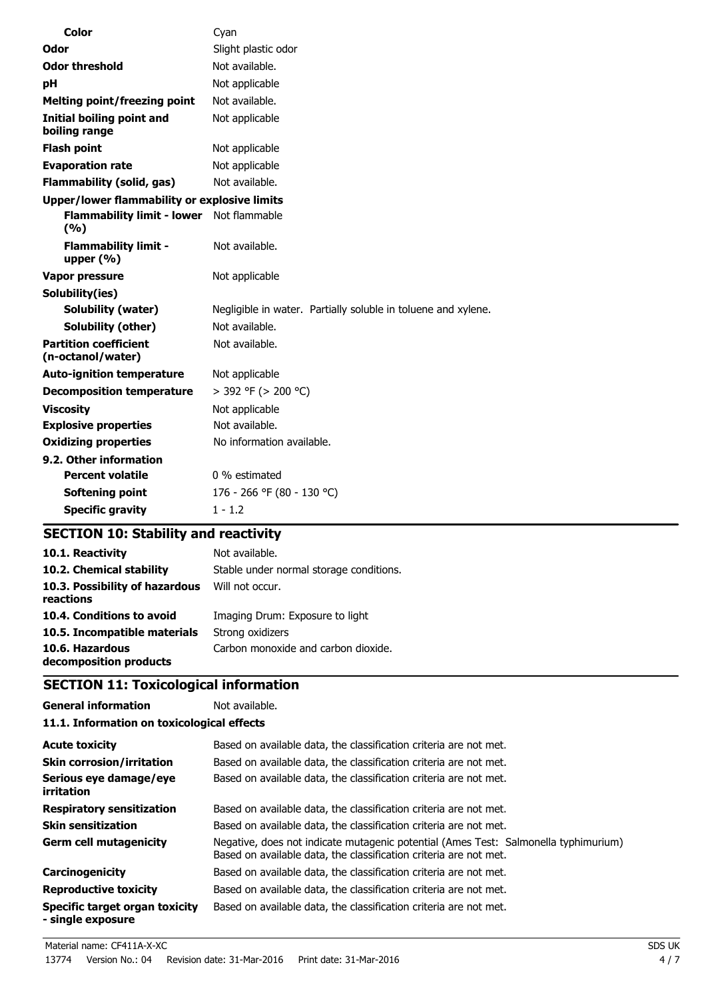| Color                                             | Cyan                                                          |
|---------------------------------------------------|---------------------------------------------------------------|
| Odor                                              | Slight plastic odor                                           |
| <b>Odor threshold</b>                             | Not available.                                                |
| рH                                                | Not applicable                                                |
| <b>Melting point/freezing point</b>               | Not available.                                                |
| <b>Initial boiling point and</b><br>boiling range | Not applicable                                                |
| <b>Flash point</b>                                | Not applicable                                                |
| <b>Evaporation rate</b>                           | Not applicable                                                |
| <b>Flammability (solid, gas)</b>                  | Not available.                                                |
| Upper/lower flammability or explosive limits      |                                                               |
| <b>Flammability limit - lower</b><br>(%)          | Not flammable                                                 |
| <b>Flammability limit -</b><br>upper $(\% )$      | Not available.                                                |
| Vapor pressure                                    | Not applicable                                                |
| Solubility(ies)                                   |                                                               |
| <b>Solubility (water)</b>                         | Negligible in water. Partially soluble in toluene and xylene. |
| Solubility (other)                                | Not available.                                                |
| <b>Partition coefficient</b><br>(n-octanol/water) | Not available.                                                |
| <b>Auto-ignition temperature</b>                  | Not applicable                                                |
| <b>Decomposition temperature</b>                  | $>$ 392 °F ( $>$ 200 °C)                                      |
| <b>Viscosity</b>                                  | Not applicable                                                |
| <b>Explosive properties</b>                       | Not available.                                                |
| <b>Oxidizing properties</b>                       | No information available.                                     |
| 9.2. Other information                            |                                                               |
| <b>Percent volatile</b>                           | 0 % estimated                                                 |
| Softening point                                   | 176 - 266 °F (80 - 130 °C)                                    |
| <b>Specific gravity</b>                           | $1 - 1.2$                                                     |

# **SECTION 10: Stability and reactivity**

| 10.1. Reactivity                            | Not available.                          |
|---------------------------------------------|-----------------------------------------|
| 10.2. Chemical stability                    | Stable under normal storage conditions. |
| 10.3. Possibility of hazardous<br>reactions | Will not occur.                         |
| 10.4. Conditions to avoid                   | Imaging Drum: Exposure to light         |
| 10.5. Incompatible materials                | Strong oxidizers                        |
| 10.6. Hazardous<br>decomposition products   | Carbon monoxide and carbon dioxide.     |

# **SECTION 11: Toxicological information**

**General information** Not available. **11.1. Information on toxicological effects**

| <b>Acute toxicity</b>                               | Based on available data, the classification criteria are not met.                                                                                        |
|-----------------------------------------------------|----------------------------------------------------------------------------------------------------------------------------------------------------------|
| <b>Skin corrosion/irritation</b>                    | Based on available data, the classification criteria are not met.                                                                                        |
| Serious eye damage/eye<br>irritation                | Based on available data, the classification criteria are not met.                                                                                        |
| <b>Respiratory sensitization</b>                    | Based on available data, the classification criteria are not met.                                                                                        |
| <b>Skin sensitization</b>                           | Based on available data, the classification criteria are not met.                                                                                        |
| <b>Germ cell mutagenicity</b>                       | Negative, does not indicate mutagenic potential (Ames Test: Salmonella typhimurium)<br>Based on available data, the classification criteria are not met. |
| Carcinogenicity                                     | Based on available data, the classification criteria are not met.                                                                                        |
| <b>Reproductive toxicity</b>                        | Based on available data, the classification criteria are not met.                                                                                        |
| Specific target organ toxicity<br>- single exposure | Based on available data, the classification criteria are not met.                                                                                        |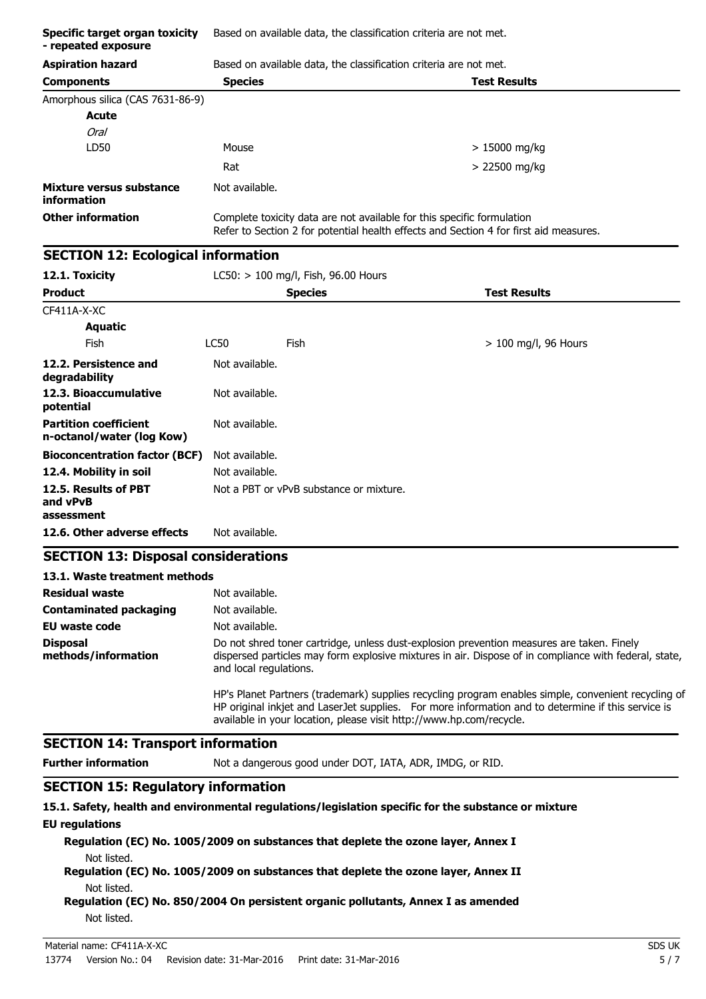| Specific target organ toxicity<br>- repeated exposure     | Based on available data, the classification criteria are not met.                                                                                                                                                            |                                                                                                                                                                                                                                                                                  |                                                                                                      |  |
|-----------------------------------------------------------|------------------------------------------------------------------------------------------------------------------------------------------------------------------------------------------------------------------------------|----------------------------------------------------------------------------------------------------------------------------------------------------------------------------------------------------------------------------------------------------------------------------------|------------------------------------------------------------------------------------------------------|--|
| <b>Aspiration hazard</b>                                  |                                                                                                                                                                                                                              | Based on available data, the classification criteria are not met.                                                                                                                                                                                                                |                                                                                                      |  |
| <b>Components</b>                                         | <b>Species</b>                                                                                                                                                                                                               |                                                                                                                                                                                                                                                                                  | <b>Test Results</b>                                                                                  |  |
| Amorphous silica (CAS 7631-86-9)                          |                                                                                                                                                                                                                              |                                                                                                                                                                                                                                                                                  |                                                                                                      |  |
| Acute                                                     |                                                                                                                                                                                                                              |                                                                                                                                                                                                                                                                                  |                                                                                                      |  |
| Oral                                                      |                                                                                                                                                                                                                              |                                                                                                                                                                                                                                                                                  |                                                                                                      |  |
| LD50                                                      | Mouse                                                                                                                                                                                                                        |                                                                                                                                                                                                                                                                                  | > 15000 mg/kg                                                                                        |  |
|                                                           | Rat                                                                                                                                                                                                                          |                                                                                                                                                                                                                                                                                  | > 22500 mg/kg                                                                                        |  |
| Mixture versus substance<br>information                   | Not available.                                                                                                                                                                                                               |                                                                                                                                                                                                                                                                                  |                                                                                                      |  |
| <b>Other information</b>                                  |                                                                                                                                                                                                                              | Complete toxicity data are not available for this specific formulation<br>Refer to Section 2 for potential health effects and Section 4 for first aid measures.                                                                                                                  |                                                                                                      |  |
| <b>SECTION 12: Ecological information</b>                 |                                                                                                                                                                                                                              |                                                                                                                                                                                                                                                                                  |                                                                                                      |  |
| 12.1. Toxicity                                            |                                                                                                                                                                                                                              | $LC50:$ > 100 mg/l, Fish, 96.00 Hours                                                                                                                                                                                                                                            |                                                                                                      |  |
| <b>Product</b>                                            |                                                                                                                                                                                                                              | <b>Species</b>                                                                                                                                                                                                                                                                   | <b>Test Results</b>                                                                                  |  |
| CF411A-X-XC                                               |                                                                                                                                                                                                                              |                                                                                                                                                                                                                                                                                  |                                                                                                      |  |
| <b>Aquatic</b>                                            |                                                                                                                                                                                                                              |                                                                                                                                                                                                                                                                                  |                                                                                                      |  |
| Fish                                                      | LC50                                                                                                                                                                                                                         | Fish                                                                                                                                                                                                                                                                             | $> 100$ mg/l, 96 Hours                                                                               |  |
| 12.2. Persistence and<br>degradability                    | Not available.                                                                                                                                                                                                               |                                                                                                                                                                                                                                                                                  |                                                                                                      |  |
| 12.3. Bioaccumulative<br>potential                        | Not available.                                                                                                                                                                                                               |                                                                                                                                                                                                                                                                                  |                                                                                                      |  |
| <b>Partition coefficient</b><br>n-octanol/water (log Kow) | Not available.                                                                                                                                                                                                               |                                                                                                                                                                                                                                                                                  |                                                                                                      |  |
| <b>Bioconcentration factor (BCF)</b>                      | Not available.                                                                                                                                                                                                               |                                                                                                                                                                                                                                                                                  |                                                                                                      |  |
| 12.4. Mobility in soil                                    | Not available.                                                                                                                                                                                                               |                                                                                                                                                                                                                                                                                  |                                                                                                      |  |
| 12.5. Results of PBT<br>and vPvB<br>assessment            |                                                                                                                                                                                                                              | Not a PBT or vPvB substance or mixture.                                                                                                                                                                                                                                          |                                                                                                      |  |
| 12.6. Other adverse effects                               | Not available.                                                                                                                                                                                                               |                                                                                                                                                                                                                                                                                  |                                                                                                      |  |
| <b>SECTION 13: Disposal considerations</b>                |                                                                                                                                                                                                                              |                                                                                                                                                                                                                                                                                  |                                                                                                      |  |
| 13.1. Waste treatment methods                             |                                                                                                                                                                                                                              |                                                                                                                                                                                                                                                                                  |                                                                                                      |  |
| <b>Residual waste</b>                                     | Not available.                                                                                                                                                                                                               |                                                                                                                                                                                                                                                                                  |                                                                                                      |  |
| <b>Contaminated packaging</b>                             | Not available.                                                                                                                                                                                                               |                                                                                                                                                                                                                                                                                  |                                                                                                      |  |
| EU waste code                                             | Not available.                                                                                                                                                                                                               |                                                                                                                                                                                                                                                                                  |                                                                                                      |  |
| <b>Disposal</b><br>methods/information                    | Do not shred toner cartridge, unless dust-explosion prevention measures are taken. Finely<br>dispersed particles may form explosive mixtures in air. Dispose of in compliance with federal, state,<br>and local regulations. |                                                                                                                                                                                                                                                                                  |                                                                                                      |  |
|                                                           |                                                                                                                                                                                                                              | HP's Planet Partners (trademark) supplies recycling program enables simple, convenient recycling of<br>HP original inkjet and LaserJet supplies. For more information and to determine if this service is<br>available in your location, please visit http://www.hp.com/recycle. |                                                                                                      |  |
| <b>SECTION 14: Transport information</b>                  |                                                                                                                                                                                                                              |                                                                                                                                                                                                                                                                                  |                                                                                                      |  |
| <b>Further information</b>                                |                                                                                                                                                                                                                              |                                                                                                                                                                                                                                                                                  | Not a dangerous good under DOT, IATA, ADR, IMDG, or RID.                                             |  |
| <b>SECTION 15: Regulatory information</b>                 |                                                                                                                                                                                                                              |                                                                                                                                                                                                                                                                                  |                                                                                                      |  |
|                                                           |                                                                                                                                                                                                                              |                                                                                                                                                                                                                                                                                  | 15.1. Safety, health and environmental regulations/legislation specific for the substance or mixture |  |

#### **EU regulations**

**Regulation (EC) No. 1005/2009 on substances that deplete the ozone layer, Annex I** Not listed.

**Regulation (EC) No. 1005/2009 on substances that deplete the ozone layer, Annex II** Not listed.

**Regulation (EC) No. 850/2004 On persistent organic pollutants, Annex I as amended** Not listed.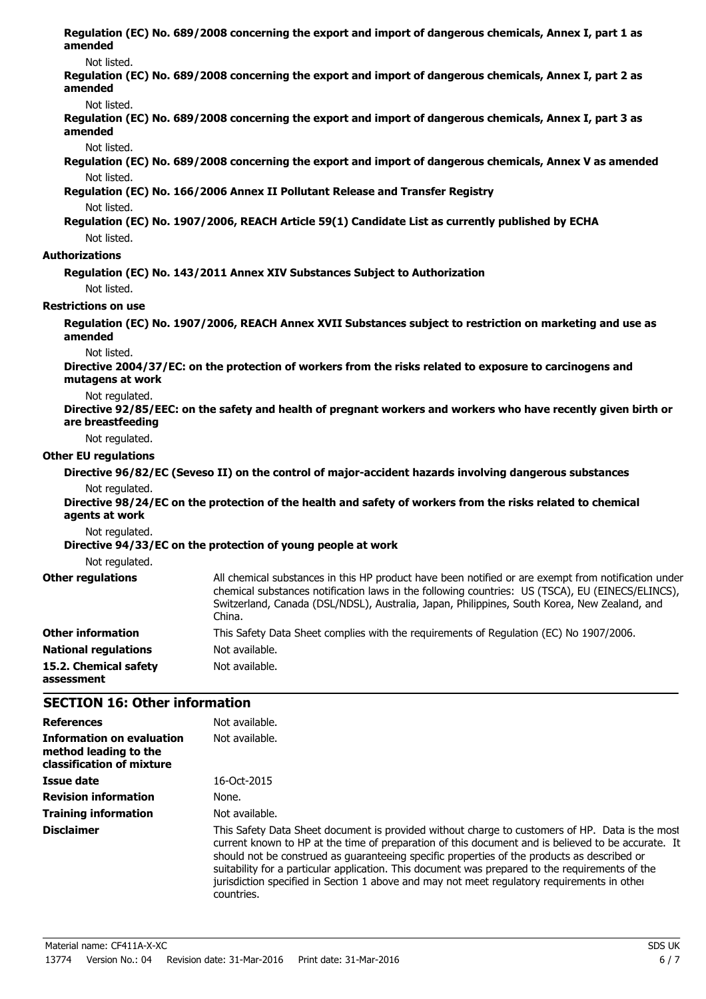| amended                             | Regulation (EC) No. 689/2008 concerning the export and import of dangerous chemicals, Annex I, part 1 as                                                                                                                                                                                                          |
|-------------------------------------|-------------------------------------------------------------------------------------------------------------------------------------------------------------------------------------------------------------------------------------------------------------------------------------------------------------------|
| Not listed.                         |                                                                                                                                                                                                                                                                                                                   |
| amended                             | Regulation (EC) No. 689/2008 concerning the export and import of dangerous chemicals, Annex I, part 2 as                                                                                                                                                                                                          |
| Not listed.                         |                                                                                                                                                                                                                                                                                                                   |
| amended                             | Regulation (EC) No. 689/2008 concerning the export and import of dangerous chemicals, Annex I, part 3 as                                                                                                                                                                                                          |
| Not listed.                         |                                                                                                                                                                                                                                                                                                                   |
|                                     | Regulation (EC) No. 689/2008 concerning the export and import of dangerous chemicals, Annex V as amended                                                                                                                                                                                                          |
| Not listed.                         |                                                                                                                                                                                                                                                                                                                   |
|                                     | Regulation (EC) No. 166/2006 Annex II Pollutant Release and Transfer Registry                                                                                                                                                                                                                                     |
| Not listed.                         |                                                                                                                                                                                                                                                                                                                   |
|                                     | Regulation (EC) No. 1907/2006, REACH Article 59(1) Candidate List as currently published by ECHA                                                                                                                                                                                                                  |
| Not listed.                         |                                                                                                                                                                                                                                                                                                                   |
| <b>Authorizations</b>               |                                                                                                                                                                                                                                                                                                                   |
|                                     | Regulation (EC) No. 143/2011 Annex XIV Substances Subject to Authorization                                                                                                                                                                                                                                        |
| Not listed.                         |                                                                                                                                                                                                                                                                                                                   |
| <b>Restrictions on use</b>          |                                                                                                                                                                                                                                                                                                                   |
| amended                             | Regulation (EC) No. 1907/2006, REACH Annex XVII Substances subject to restriction on marketing and use as                                                                                                                                                                                                         |
| Not listed.                         |                                                                                                                                                                                                                                                                                                                   |
| mutagens at work                    | Directive 2004/37/EC: on the protection of workers from the risks related to exposure to carcinogens and                                                                                                                                                                                                          |
| Not regulated.<br>are breastfeeding | Directive 92/85/EEC: on the safety and health of pregnant workers and workers who have recently given birth or                                                                                                                                                                                                    |
| Not regulated.                      |                                                                                                                                                                                                                                                                                                                   |
| <b>Other EU regulations</b>         |                                                                                                                                                                                                                                                                                                                   |
|                                     | Directive 96/82/EC (Seveso II) on the control of major-accident hazards involving dangerous substances                                                                                                                                                                                                            |
| Not regulated.                      |                                                                                                                                                                                                                                                                                                                   |
| agents at work                      | Directive 98/24/EC on the protection of the health and safety of workers from the risks related to chemical                                                                                                                                                                                                       |
| Not regulated.                      |                                                                                                                                                                                                                                                                                                                   |
|                                     | Directive 94/33/EC on the protection of young people at work                                                                                                                                                                                                                                                      |
| Not regulated.                      |                                                                                                                                                                                                                                                                                                                   |
| <b>Other regulations</b>            | All chemical substances in this HP product have been notified or are exempt from notification under<br>chemical substances notification laws in the following countries: US (TSCA), EU (EINECS/ELINCS),<br>Switzerland, Canada (DSL/NDSL), Australia, Japan, Philippines, South Korea, New Zealand, and<br>China. |
| <b>Other information</b>            | This Safety Data Sheet complies with the requirements of Regulation (EC) No 1907/2006.                                                                                                                                                                                                                            |
| <b>National regulations</b>         | Not available.                                                                                                                                                                                                                                                                                                    |
| 15.2. Chemical safety<br>assessment | Not available.                                                                                                                                                                                                                                                                                                    |

# **SECTION 16: Other information**

| <b>References</b>                                                                      | Not available.                                                                                                                                                                                                                                                                                                                                                                                                                                                                                                       |
|----------------------------------------------------------------------------------------|----------------------------------------------------------------------------------------------------------------------------------------------------------------------------------------------------------------------------------------------------------------------------------------------------------------------------------------------------------------------------------------------------------------------------------------------------------------------------------------------------------------------|
| <b>Information on evaluation</b><br>method leading to the<br>classification of mixture | Not available.                                                                                                                                                                                                                                                                                                                                                                                                                                                                                                       |
| Issue date                                                                             | $16-0ct-2015$                                                                                                                                                                                                                                                                                                                                                                                                                                                                                                        |
| <b>Revision information</b>                                                            | None.                                                                                                                                                                                                                                                                                                                                                                                                                                                                                                                |
| <b>Training information</b>                                                            | Not available.                                                                                                                                                                                                                                                                                                                                                                                                                                                                                                       |
| <b>Disclaimer</b>                                                                      | This Safety Data Sheet document is provided without charge to customers of HP. Data is the most<br>current known to HP at the time of preparation of this document and is believed to be accurate. It<br>should not be construed as quaranteeing specific properties of the products as described or<br>suitability for a particular application. This document was prepared to the requirements of the<br>jurisdiction specified in Section 1 above and may not meet regulatory requirements in other<br>countries. |